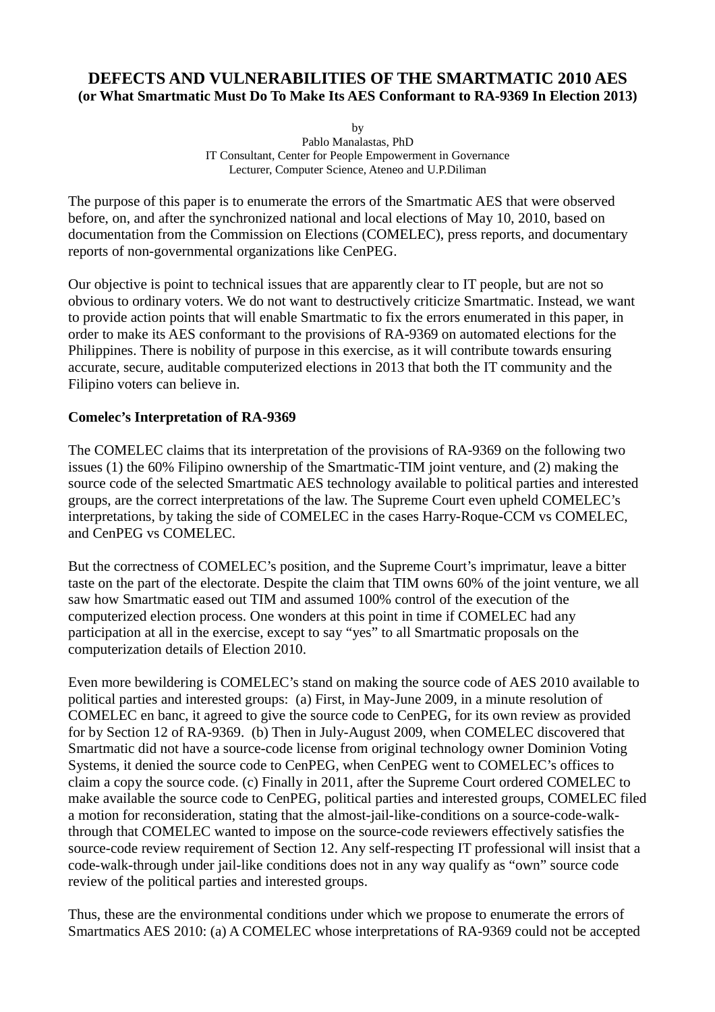# **DEFECTS AND VULNERABILITIES OF THE SMARTMATIC 2010 AES (or What Smartmatic Must Do To Make Its AES Conformant to RA-9369 In Election 2013)**

by

Pablo Manalastas, PhD IT Consultant, Center for People Empowerment in Governance Lecturer, Computer Science, Ateneo and U.P.Diliman

The purpose of this paper is to enumerate the errors of the Smartmatic AES that were observed before, on, and after the synchronized national and local elections of May 10, 2010, based on documentation from the Commission on Elections (COMELEC), press reports, and documentary reports of non-governmental organizations like CenPEG.

Our objective is point to technical issues that are apparently clear to IT people, but are not so obvious to ordinary voters. We do not want to destructively criticize Smartmatic. Instead, we want to provide action points that will enable Smartmatic to fix the errors enumerated in this paper, in order to make its AES conformant to the provisions of RA-9369 on automated elections for the Philippines. There is nobility of purpose in this exercise, as it will contribute towards ensuring accurate, secure, auditable computerized elections in 2013 that both the IT community and the Filipino voters can believe in.

## **Comelec's Interpretation of RA-9369**

The COMELEC claims that its interpretation of the provisions of RA-9369 on the following two issues (1) the 60% Filipino ownership of the Smartmatic-TIM joint venture, and (2) making the source code of the selected Smartmatic AES technology available to political parties and interested groups, are the correct interpretations of the law. The Supreme Court even upheld COMELEC's interpretations, by taking the side of COMELEC in the cases Harry-Roque-CCM vs COMELEC, and CenPEG vs COMELEC.

But the correctness of COMELEC's position, and the Supreme Court's imprimatur, leave a bitter taste on the part of the electorate. Despite the claim that TIM owns 60% of the joint venture, we all saw how Smartmatic eased out TIM and assumed 100% control of the execution of the computerized election process. One wonders at this point in time if COMELEC had any participation at all in the exercise, except to say "yes" to all Smartmatic proposals on the computerization details of Election 2010.

Even more bewildering is COMELEC's stand on making the source code of AES 2010 available to political parties and interested groups: (a) First, in May-June 2009, in a minute resolution of COMELEC en banc, it agreed to give the source code to CenPEG, for its own review as provided for by Section 12 of RA-9369. (b) Then in July-August 2009, when COMELEC discovered that Smartmatic did not have a source-code license from original technology owner Dominion Voting Systems, it denied the source code to CenPEG, when CenPEG went to COMELEC's offices to claim a copy the source code. (c) Finally in 2011, after the Supreme Court ordered COMELEC to make available the source code to CenPEG, political parties and interested groups, COMELEC filed a motion for reconsideration, stating that the almost-jail-like-conditions on a source-code-walkthrough that COMELEC wanted to impose on the source-code reviewers effectively satisfies the source-code review requirement of Section 12. Any self-respecting IT professional will insist that a code-walk-through under jail-like conditions does not in any way qualify as "own" source code review of the political parties and interested groups.

Thus, these are the environmental conditions under which we propose to enumerate the errors of Smartmatics AES 2010: (a) A COMELEC whose interpretations of RA-9369 could not be accepted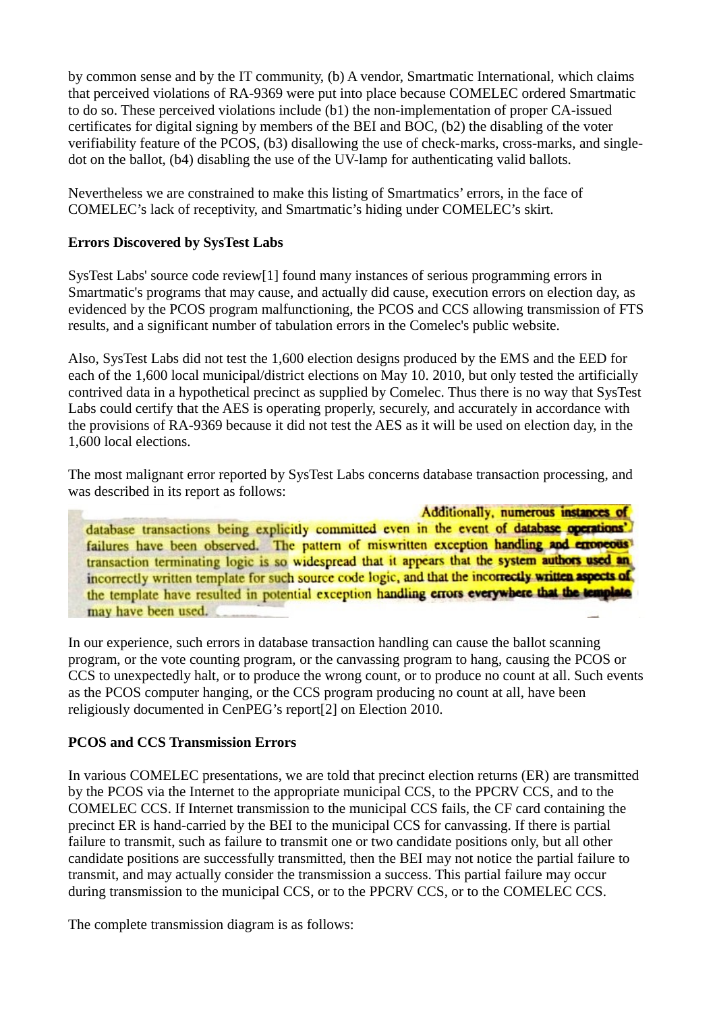by common sense and by the IT community, (b) A vendor, Smartmatic International, which claims that perceived violations of RA-9369 were put into place because COMELEC ordered Smartmatic to do so. These perceived violations include (b1) the non-implementation of proper CA-issued certificates for digital signing by members of the BEI and BOC, (b2) the disabling of the voter verifiability feature of the PCOS, (b3) disallowing the use of check-marks, cross-marks, and singledot on the ballot, (b4) disabling the use of the UV-lamp for authenticating valid ballots.

Nevertheless we are constrained to make this listing of Smartmatics' errors, in the face of COMELEC's lack of receptivity, and Smartmatic's hiding under COMELEC's skirt.

### **Errors Discovered by SysTest Labs**

SysTest Labs' source code review[1] found many instances of serious programming errors in Smartmatic's programs that may cause, and actually did cause, execution errors on election day, as evidenced by the PCOS program malfunctioning, the PCOS and CCS allowing transmission of FTS results, and a significant number of tabulation errors in the Comelec's public website.

Also, SysTest Labs did not test the 1,600 election designs produced by the EMS and the EED for each of the 1,600 local municipal/district elections on May 10. 2010, but only tested the artificially contrived data in a hypothetical precinct as supplied by Comelec. Thus there is no way that SysTest Labs could certify that the AES is operating properly, securely, and accurately in accordance with the provisions of RA-9369 because it did not test the AES as it will be used on election day, in the 1,600 local elections.

The most malignant error reported by SysTest Labs concerns database transaction processing, and was described in its report as follows:

Additionally, numerous instances of database transactions being explicitly committed even in the event of database operations'. failures have been observed. The pattern of miswritten exception handling and erroneous transaction terminating logic is so widespread that it appears that the system authors used an incorrectly written template for such source code logic, and that the incorrectly written aspects of the template have resulted in potential exception handling errors everywhere that the template may have been used.

In our experience, such errors in database transaction handling can cause the ballot scanning program, or the vote counting program, or the canvassing program to hang, causing the PCOS or CCS to unexpectedly halt, or to produce the wrong count, or to produce no count at all. Such events as the PCOS computer hanging, or the CCS program producing no count at all, have been religiously documented in CenPEG's report[2] on Election 2010.

### **PCOS and CCS Transmission Errors**

In various COMELEC presentations, we are told that precinct election returns (ER) are transmitted by the PCOS via the Internet to the appropriate municipal CCS, to the PPCRV CCS, and to the COMELEC CCS. If Internet transmission to the municipal CCS fails, the CF card containing the precinct ER is hand-carried by the BEI to the municipal CCS for canvassing. If there is partial failure to transmit, such as failure to transmit one or two candidate positions only, but all other candidate positions are successfully transmitted, then the BEI may not notice the partial failure to transmit, and may actually consider the transmission a success. This partial failure may occur during transmission to the municipal CCS, or to the PPCRV CCS, or to the COMELEC CCS.

The complete transmission diagram is as follows: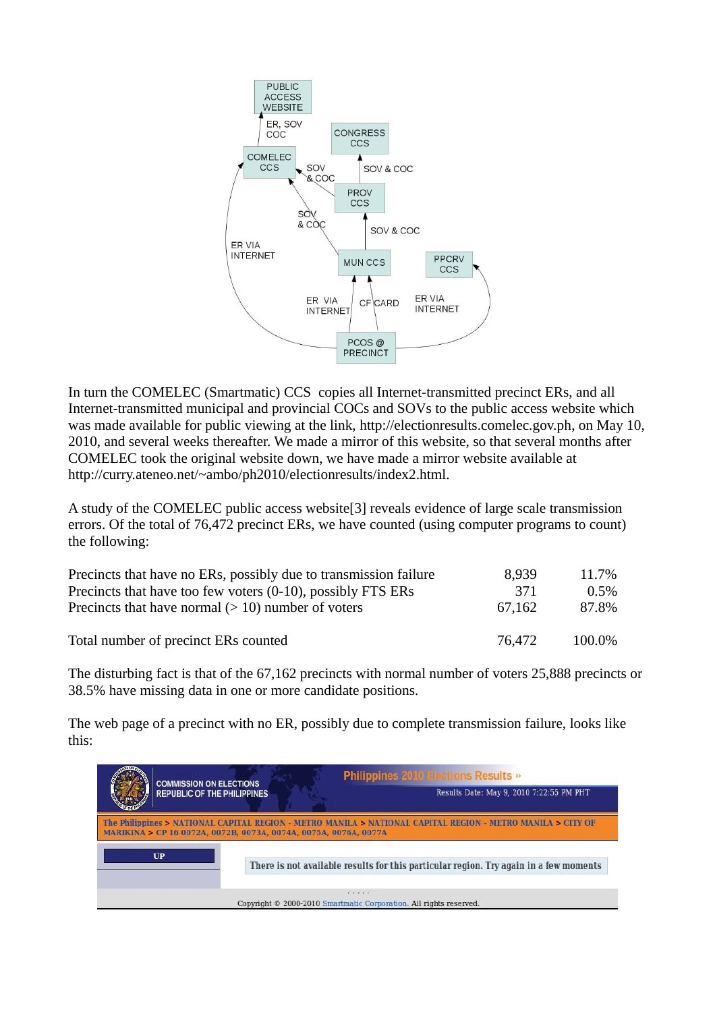

In turn the COMELEC (Smartmatic) CCS copies all Internet-transmitted precinct ERs, and all Internet-transmitted municipal and provincial COCs and SOVs to the public access website which was made available for public viewing at the link, http://electionresults.comelec.gov.ph, on May 10, 2010, and several weeks thereafter. We made a mirror of this website, so that several months after COMELEC took the original website down, we have made a mirror website available at http://curry.ateneo.net/~ambo/ph2010/electionresults/index2.html.

A study of the COMELEC public access website[3] reveals evidence of large scale transmission errors. Of the total of 76,472 precinct ERs, we have counted (using computer programs to count) the following:

| Precincts that have no ERs, possibly due to transmission failure | 8.939  | 11.7%   |
|------------------------------------------------------------------|--------|---------|
| Precincts that have too few voters (0-10), possibly FTS ERs      | -371   | $0.5\%$ |
| Precincts that have normal $(>10)$ number of voters              | 67.162 | 87.8%   |
| Total number of precinct ERs counted                             | 76.472 | 100.0%  |

The disturbing fact is that of the 67,162 precincts with normal number of voters 25,888 precincts or 38.5% have missing data in one or more candidate positions.

The web page of a precinct with no ER, possibly due to complete transmission failure, looks like this:

| <b>COMMISSION ON ELECTIONS</b>                                   | <b>Philippines 2010 Flections Results »</b>                                                                 |
|------------------------------------------------------------------|-------------------------------------------------------------------------------------------------------------|
| <b>REPUBLIC OF THE PHILIPPINES</b>                               | Results Date: May 9, 2010 7:22:55 PM PHT                                                                    |
| MARIKINA > CP 16 0072A, 0072B, 0073A, 0074A, 0075A, 0076A, 0077A | The Philippines > NATIONAL CAPITAL REGION - METRO MANILA > NATIONAL CAPITAL REGION - METRO MANILA > CITY OF |
| <b>UP</b>                                                        | There is not available results for this particular region. Try again in a few moments                       |
|                                                                  | .<br>Copyright © 2000-2010 Smartmatic Corporation. All rights reserved.                                     |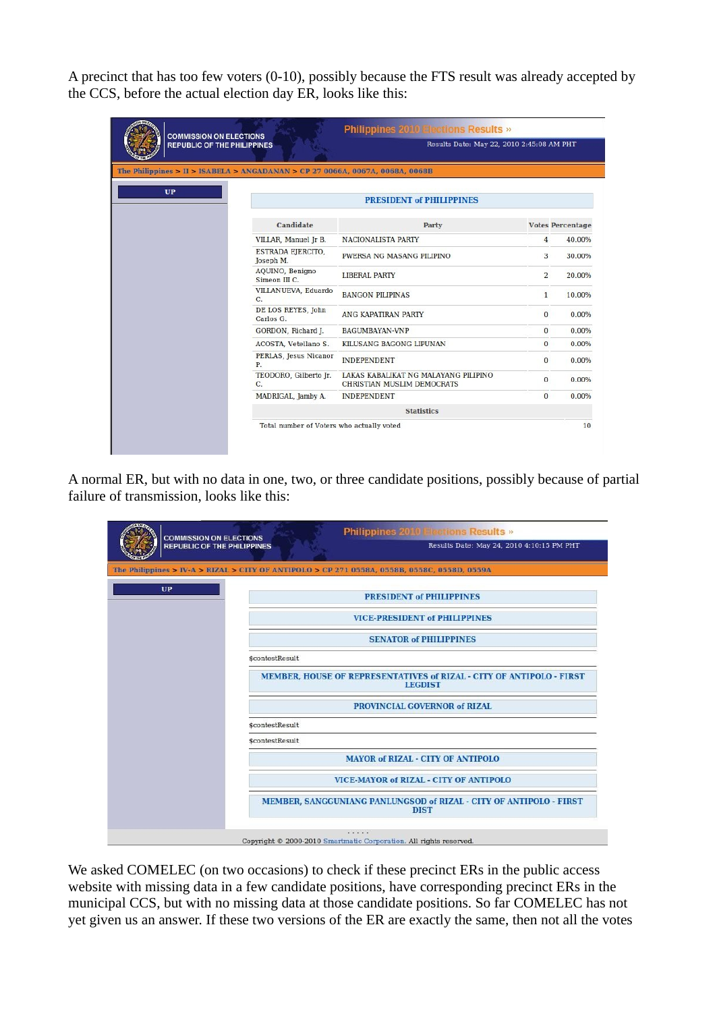A precinct that has too few voters (0-10), possibly because the FTS result was already accepted by the CCS, before the actual election day ER, looks like this:

| <b>COMMISSION ON ELECTIONS</b>                                                |                                           | <b>Philippines 2010 Elections Results »</b>                        |                |                         |  |
|-------------------------------------------------------------------------------|-------------------------------------------|--------------------------------------------------------------------|----------------|-------------------------|--|
| <b>REPUBLIC OF THE PHILIPPINES</b>                                            |                                           | Results Date: May 22, 2010 2:45:08 AM PHT                          |                |                         |  |
| The Philippines > II > ISABELA > ANGADANAN > CP 27 0066A, 0067A, 0068A, 0068B |                                           |                                                                    |                |                         |  |
| <b>UP</b>                                                                     |                                           | <b>PRESIDENT of PHILIPPINES</b>                                    |                |                         |  |
|                                                                               | Candidate                                 | Party                                                              |                | <b>Votes Percentage</b> |  |
|                                                                               | VILLAR, Manuel Jr B.                      | NACIONALISTA PARTY                                                 | $\overline{4}$ | 40.00%                  |  |
|                                                                               | ESTRADA EJERCITO,<br>Joseph M.            | PWERSA NG MASANG PILIPINO                                          | 3              | 30,00%                  |  |
|                                                                               | AQUINO, Benigno<br>Simeon III C.          | LIBERAL PARTY                                                      | $\mathbf{2}$   | 20.00%                  |  |
|                                                                               | VILLANUEVA, Eduardo<br>C.                 | <b>BANGON PILIPINAS</b>                                            | $\mathbf{1}$   | 10.00%                  |  |
|                                                                               | DE LOS REYES, John<br>Carlos G.           | ANG KAPATIRAN PARTY                                                | $\overline{0}$ | 0.00%                   |  |
|                                                                               | GORDON, Richard J.                        | <b>BAGUMBAYAN-VNP</b>                                              | $\Omega$       | 0.00%                   |  |
|                                                                               | ACOSTA, Vetellano S.                      | KILUSANG BAGONG LIPUNAN                                            | $\overline{0}$ | 0.00%                   |  |
|                                                                               | PERLAS, Jesus Nicanor<br>P.               | <b>INDEPENDENT</b>                                                 | $\mathbf{0}$   | 0.00%                   |  |
|                                                                               | TEODORO, Gilberto Jr.<br>C.               | LAKAS KABALIKAT NG MALAYANG PILIPINO<br>CHRISTIAN MUSLIM DEMOCRATS | $\mathbf{0}$   | 0.00%                   |  |
|                                                                               | MADRIGAL, Jamby A.                        | <b>INDEPENDENT</b>                                                 | $\overline{0}$ | 0.00%                   |  |
|                                                                               |                                           | <b>Statistics</b>                                                  |                |                         |  |
|                                                                               | Total number of Voters who actually voted |                                                                    |                | 10                      |  |

A normal ER, but with no data in one, two, or three candidate positions, possibly because of partial failure of transmission, looks like this:

| <b>COMMISSION ON ELECTIONS</b><br><b>REPUBLIC OF THE PHILIPPINES</b> | Philippines 2010 Flactions Results »<br>Results Date: May 24, 2010 4:10:15 PM PHT            |
|----------------------------------------------------------------------|----------------------------------------------------------------------------------------------|
|                                                                      | The Philippines > IV-A > RIZAL > CITY OF ANTIPOLO > CP 271 0558A, 0558B, 0558C, 0558D, 0559A |
| <b>UP</b>                                                            | <b>PRESIDENT of PHILIPPINES</b>                                                              |
|                                                                      | <b>VICE-PRESIDENT of PHILIPPINES</b>                                                         |
|                                                                      | <b>SENATOR of PHILIPPINES</b>                                                                |
|                                                                      | <b>\$contestResult</b>                                                                       |
|                                                                      | MEMBER, HOUSE OF REPRESENTATIVES of RIZAL - CITY OF ANTIPOLO - FIRST<br><b>LEGDIST</b>       |
|                                                                      | PROVINCIAL GOVERNOR of RIZAL                                                                 |
|                                                                      | <b>\$contestResult</b>                                                                       |
|                                                                      | <b>\$contestResult</b>                                                                       |
|                                                                      | <b>MAYOR of RIZAL - CITY OF ANTIPOLO</b>                                                     |
|                                                                      | <b>VICE-MAYOR of RIZAL - CITY OF ANTIPOLO</b>                                                |
|                                                                      | MEMBER, SANGGUNIANG PANLUNGSOD of RIZAL - CITY OF ANTIPOLO - FIRST<br><b>DIST</b>            |
|                                                                      |                                                                                              |
|                                                                      | Copyright © 2000-2010 Smartmatic Corporation. All rights reserved.                           |

We asked COMELEC (on two occasions) to check if these precinct ERs in the public access website with missing data in a few candidate positions, have corresponding precinct ERs in the municipal CCS, but with no missing data at those candidate positions. So far COMELEC has not yet given us an answer. If these two versions of the ER are exactly the same, then not all the votes